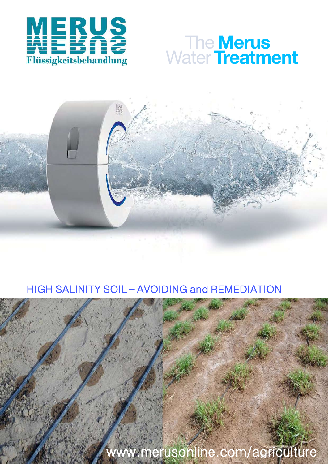

# The **Merus**<br>Water Treatment

## HIGH SALINITY SOIL - AVOIDING and REMEDIATION

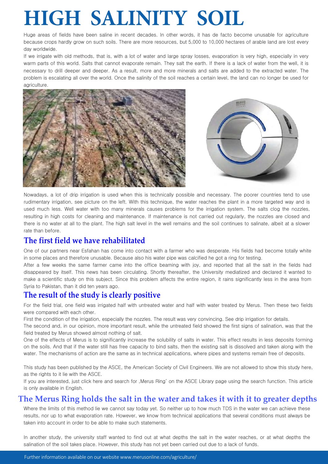# **HIGH SALINITY SOIL**

Huge areas of fields have been saline in recent decades. In other words, it has de facto become unusable for agriculture because crops hardly grow on such soils. There are more resources, but 5,000 to 10,000 hectares of arable land are lost every day worldwide.

If we irrigate with old methods, that is, with a lot of water and large spray losses, evaporation is very high, especially in very warm parts of this world. Salts that cannot evaporate remain. They salt the earth. If there is a lack of water from the well, it is necessary to drill deeper and deeper. As a result, more and more minerals and salts are added to the extracted water. The problem is escalating all over the world. Once the salinity of the soil reaches a certain level, the land can no longer be used for agriculture.





Nowadays, a lot of drip irrigation is used when this is technically possible and necessary. The poorer countries tend to use rudimentary irrigation, see picture on the left. With this technique, the water reaches the plant in a more targeted way and is used much less. Well water with too many minerals causes problems for the irrigation system. The salts clog the nozzles, resulting in high costs for cleaning and maintenance. If maintenance is not carried out regularly, the nozzles are closed and there is no water at all to the plant. The high salt level in the well remains and the soil continues to salinate, albeit at a slower rate than before.

#### **The first field we have rehabilitated**

One of our partners near Esfahan has come into contact with a farmer who was desperate. His fields had become totally white in some places and therefore unusable. Because also his water pipe was calcified he got a ring for testing.

After a few weeks the same farmer came into the office beaming with joy, and reported that all the salt in the fields had disappeared by itself. This news has been circulating. Shortly thereafter, the University mediatized and declared it wanted to make a scientific study on this subject. Since this problem affects the entire region, it rains significantly less in the area from Syria to Pakistan, than it did ten years ago.

#### **The result of the study is clearly positive**

For the field trial, one field was irrigated half with untreated water and half with water treated by Merus. Then these two fields were compared with each other.

First the condition of the irrigation, especially the nozzles. The result was very convincing. See drip irrigation for details.

The second and, in our opinion, more important result, while the untreated field showed the first signs of salination, was that the field treated by Merus showed almost nothing of salt.

One of the effects of Merus is to significantly increase the solubility of salts in water. This effect results in less deposits forming on the soils. And that if the water still has free capacity to bind salts, then the existing salt is dissolved and taken along with the water. The mechanisms of action are the same as in technical applications, where pipes and systems remain free of deposits.

This study has been published by the ASCE, the American Society of Civil Engineers. We are not allowed to show this study here, as the rights to it lie with the ASCE.

If you are interested, just click here and search for , Merus Ring' on the ASCE Library page using the search function. This article is only available in English.

#### **The Merus Ring holds the salt in the water and takes it with it to greater depths**

Where the limits of this method lie we cannot say today yet. So neither up to how much TDS in the water we can achieve these results, nor up to what evaporation rate. However, we know from technical applications that several conditions must always be taken into account in order to be able to make such statements.

In another study, the university staff wanted to find out at what depths the salt in the water reaches, or at what depths the salination of the soil takes place. However, this study has not yet been carried out due to a lack of funds.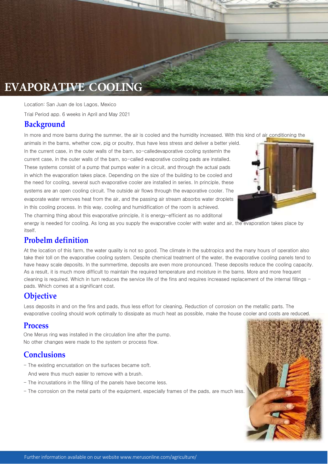

Location: San Juan de los Lagos, Mexico

Trial Period app. 6 weeks in April and May 2021

#### **Background**

In more and more barns during the summer, the air is cooled and the humidity increased. With this kind of air conditioning the

animals in the barns, whether cow, pig or poultry, thus have less stress and deliver a better yield. In the current case, in the outer walls of the barn, so-calledevaporative cooling systemIn the current case, in the outer walls of the barn, so-called evaporative cooling pads are installed. These systems consist of a pump that pumps water in a circuit, and through the actual pads in which the evaporation takes place. Depending on the size of the building to be cooled and the need for cooling, several such evaporative cooler are installed in series. In principle, these systems are an open cooling circuit. The outside air flows through the evaporative cooler. The evaporate water removes heat from the air, and the passing air stream absorbs water droplets in this cooling process. In this way, cooling and humidification of the room is achieved. The charming thing about this evaporative principle, it is energy-efficient as no additonal



energy is needed for cooling. As long as you supply the evaporative cooler with water and air, the evaporation takes place by itself.

#### **Probelm definition**

At the location of this farm, the water quality is not so good. The climate in the subtropics and the many hours of operation also take their toll on the evaporative cooling system. Despite chemical treatment of the water, the evaporative cooling panels tend to have heavy scale deposits. In the summertime, deposits are even more pronounced. These deposits reduce the cooling capacity. As a result, it is much more difficult to maintain the required temperature and moisture in the barns. More and more frequent cleaning is required. Which in turn reduces the service life of the fins and requires increased replacement of the internal fillings pads. Which comes at a significant cost.

#### **Objective**

Less deposits in and on the fins and pads, thus less effort for cleaning. Reduction of corrosion on the metallic parts. The evaporative cooling should work optimally to dissipate as much heat as possible, make the house cooler and costs are reduced.

#### **Process**

One Merus ring was installed in the circulation line after the pump. No other changes were made to the system or process flow.

#### **Conclusions**

- The existing encrustation on the surfaces became soft.

And were thus much easier to remove with a brush.

- The incrustations in the filling of the panels have become less.
- The corrosion on the metal parts of the equipment, especially frames of the pads, are much less.